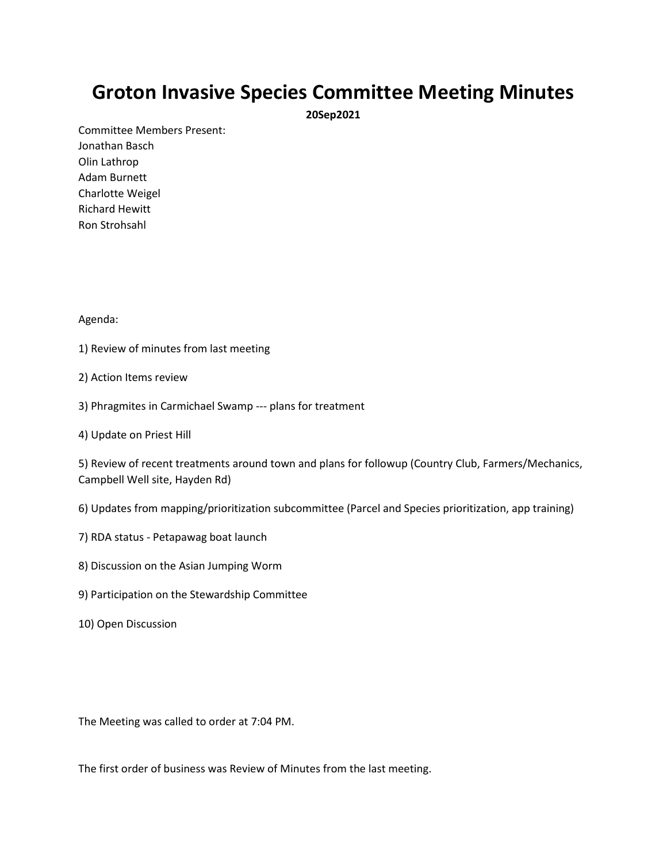## **Groton Invasive Species Committee Meeting Minutes**

**20Sep2021**

Committee Members Present: Jonathan Basch Olin Lathrop Adam Burnett Charlotte Weigel Richard Hewitt Ron Strohsahl

## Agenda:

1) Review of minutes from last meeting

## 2) Action Items review

- 3) Phragmites in Carmichael Swamp --- plans for treatment
- 4) Update on Priest Hill

5) Review of recent treatments around town and plans for followup (Country Club, Farmers/Mechanics, Campbell Well site, Hayden Rd)

6) Updates from mapping/prioritization subcommittee (Parcel and Species prioritization, app training)

- 7) RDA status Petapawag boat launch
- 8) Discussion on the Asian Jumping Worm
- 9) Participation on the Stewardship Committee
- 10) Open Discussion

The Meeting was called to order at 7:04 PM.

The first order of business was Review of Minutes from the last meeting.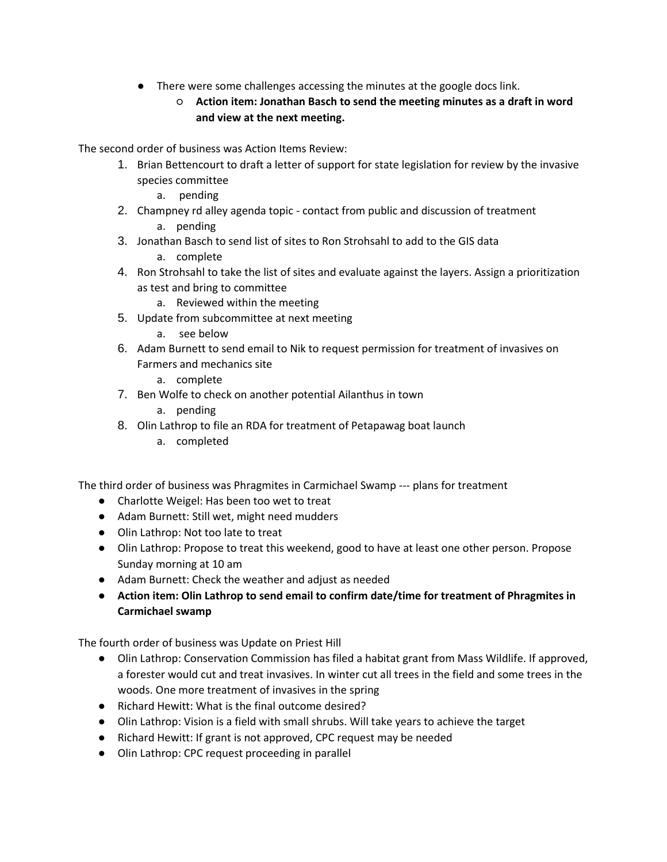- There were some challenges accessing the minutes at the google docs link.
	- **Action item: Jonathan Basch to send the meeting minutes as a draft in word and view at the next meeting.**

The second order of business was Action Items Review:

- 1. Brian Bettencourt to draft a letter of support for state legislation for review by the invasive species committee
	- a. pending
- 2. Champney rd alley agenda topic contact from public and discussion of treatment
	- a. pending
- 3. Jonathan Basch to send list of sites to Ron Strohsahl to add to the GIS data
	- a. complete
- 4. Ron Strohsahl to take the list of sites and evaluate against the layers. Assign a prioritization as test and bring to committee
	- a. Reviewed within the meeting
- 5. Update from subcommittee at next meeting
	- a. see below
- 6. Adam Burnett to send email to Nik to request permission for treatment of invasives on Farmers and mechanics site
	- a. complete
- 7. Ben Wolfe to check on another potential Ailanthus in town
	- a. pending
- 8. Olin Lathrop to file an RDA for treatment of Petapawag boat launch
	- a. completed

The third order of business was Phragmites in Carmichael Swamp --- plans for treatment

- Charlotte Weigel: Has been too wet to treat
- Adam Burnett: Still wet, might need mudders
- Olin Lathrop: Not too late to treat
- Olin Lathrop: Propose to treat this weekend, good to have at least one other person. Propose Sunday morning at 10 am
- Adam Burnett: Check the weather and adjust as needed
- **Action item: Olin Lathrop to send email to confirm date/time for treatment of Phragmites in Carmichael swamp**

The fourth order of business was Update on Priest Hill

- Olin Lathrop: Conservation Commission has filed a habitat grant from Mass Wildlife. If approved, a forester would cut and treat invasives. In winter cut all trees in the field and some trees in the woods. One more treatment of invasives in the spring
- Richard Hewitt: What is the final outcome desired?
- Olin Lathrop: Vision is a field with small shrubs. Will take years to achieve the target
- Richard Hewitt: If grant is not approved, CPC request may be needed
- Olin Lathrop: CPC request proceeding in parallel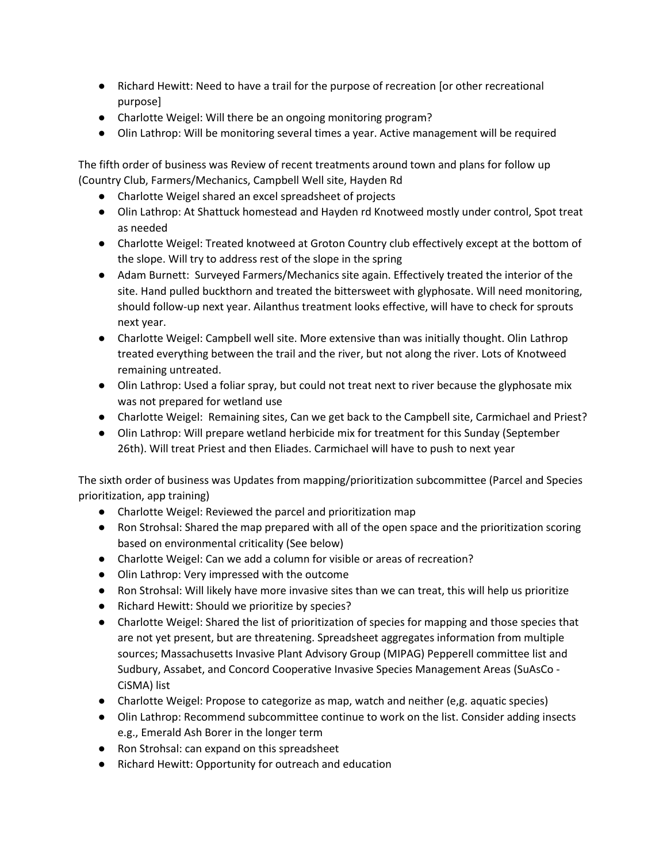- Richard Hewitt: Need to have a trail for the purpose of recreation [or other recreational purpose]
- Charlotte Weigel: Will there be an ongoing monitoring program?
- Olin Lathrop: Will be monitoring several times a year. Active management will be required

The fifth order of business was Review of recent treatments around town and plans for follow up (Country Club, Farmers/Mechanics, Campbell Well site, Hayden Rd

- Charlotte Weigel shared an excel spreadsheet of projects
- Olin Lathrop: At Shattuck homestead and Hayden rd Knotweed mostly under control, Spot treat as needed
- Charlotte Weigel: Treated knotweed at Groton Country club effectively except at the bottom of the slope. Will try to address rest of the slope in the spring
- Adam Burnett: Surveyed Farmers/Mechanics site again. Effectively treated the interior of the site. Hand pulled buckthorn and treated the bittersweet with glyphosate. Will need monitoring, should follow-up next year. Ailanthus treatment looks effective, will have to check for sprouts next year.
- Charlotte Weigel: Campbell well site. More extensive than was initially thought. Olin Lathrop treated everything between the trail and the river, but not along the river. Lots of Knotweed remaining untreated.
- Olin Lathrop: Used a foliar spray, but could not treat next to river because the glyphosate mix was not prepared for wetland use
- Charlotte Weigel: Remaining sites, Can we get back to the Campbell site, Carmichael and Priest?
- Olin Lathrop: Will prepare wetland herbicide mix for treatment for this Sunday (September 26th). Will treat Priest and then Eliades. Carmichael will have to push to next year

The sixth order of business was Updates from mapping/prioritization subcommittee (Parcel and Species prioritization, app training)

- Charlotte Weigel: Reviewed the parcel and prioritization map
- Ron Strohsal: Shared the map prepared with all of the open space and the prioritization scoring based on environmental criticality (See below)
- Charlotte Weigel: Can we add a column for visible or areas of recreation?
- Olin Lathrop: Very impressed with the outcome
- Ron Strohsal: Will likely have more invasive sites than we can treat, this will help us prioritize
- Richard Hewitt: Should we prioritize by species?
- Charlotte Weigel: Shared the list of prioritization of species for mapping and those species that are not yet present, but are threatening. Spreadsheet aggregates information from multiple sources; Massachusetts Invasive Plant Advisory Group (MIPAG) Pepperell committee list and Sudbury, Assabet, and Concord Cooperative Invasive Species Management Areas (SuAsCo - CiSMA) list
- Charlotte Weigel: Propose to categorize as map, watch and neither (e,g. aquatic species)
- Olin Lathrop: Recommend subcommittee continue to work on the list. Consider adding insects e.g., Emerald Ash Borer in the longer term
- Ron Strohsal: can expand on this spreadsheet
- Richard Hewitt: Opportunity for outreach and education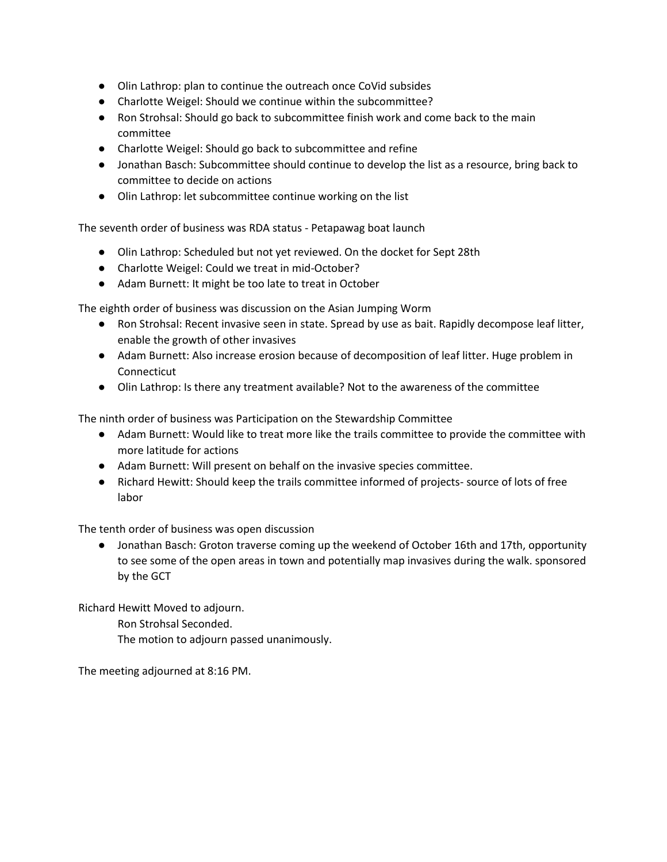- Olin Lathrop: plan to continue the outreach once CoVid subsides
- Charlotte Weigel: Should we continue within the subcommittee?
- Ron Strohsal: Should go back to subcommittee finish work and come back to the main committee
- Charlotte Weigel: Should go back to subcommittee and refine
- Jonathan Basch: Subcommittee should continue to develop the list as a resource, bring back to committee to decide on actions
- Olin Lathrop: let subcommittee continue working on the list

The seventh order of business was RDA status - Petapawag boat launch

- Olin Lathrop: Scheduled but not yet reviewed. On the docket for Sept 28th
- Charlotte Weigel: Could we treat in mid-October?
- Adam Burnett: It might be too late to treat in October

The eighth order of business was discussion on the Asian Jumping Worm

- Ron Strohsal: Recent invasive seen in state. Spread by use as bait. Rapidly decompose leaf litter, enable the growth of other invasives
- Adam Burnett: Also increase erosion because of decomposition of leaf litter. Huge problem in Connecticut
- Olin Lathrop: Is there any treatment available? Not to the awareness of the committee

The ninth order of business was Participation on the Stewardship Committee

- Adam Burnett: Would like to treat more like the trails committee to provide the committee with more latitude for actions
- Adam Burnett: Will present on behalf on the invasive species committee.
- Richard Hewitt: Should keep the trails committee informed of projects- source of lots of free labor

The tenth order of business was open discussion

● Jonathan Basch: Groton traverse coming up the weekend of October 16th and 17th, opportunity to see some of the open areas in town and potentially map invasives during the walk. sponsored by the GCT

Richard Hewitt Moved to adjourn.

Ron Strohsal Seconded.

The motion to adjourn passed unanimously.

The meeting adjourned at 8:16 PM.